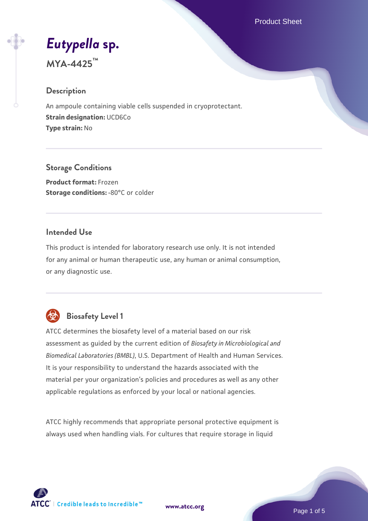Product Sheet

# *[Eutypella](https://www.atcc.org/products/mya-4425)* **[sp.](https://www.atcc.org/products/mya-4425)**

**MYA-4425™**

# **Description**

An ampoule containing viable cells suspended in cryoprotectant. **Strain designation:** UCD6Co **Type strain:** No

# **Storage Conditions**

**Product format:** Frozen **Storage conditions: -80°C or colder** 

# **Intended Use**

This product is intended for laboratory research use only. It is not intended for any animal or human therapeutic use, any human or animal consumption, or any diagnostic use.



# **Biosafety Level 1**

ATCC determines the biosafety level of a material based on our risk assessment as guided by the current edition of *Biosafety in Microbiological and Biomedical Laboratories (BMBL)*, U.S. Department of Health and Human Services. It is your responsibility to understand the hazards associated with the material per your organization's policies and procedures as well as any other applicable regulations as enforced by your local or national agencies.

ATCC highly recommends that appropriate personal protective equipment is always used when handling vials. For cultures that require storage in liquid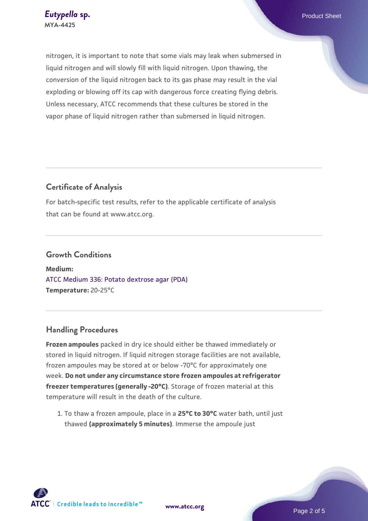nitrogen, it is important to note that some vials may leak when submersed in liquid nitrogen and will slowly fill with liquid nitrogen. Upon thawing, the conversion of the liquid nitrogen back to its gas phase may result in the vial exploding or blowing off its cap with dangerous force creating flying debris. Unless necessary, ATCC recommends that these cultures be stored in the vapor phase of liquid nitrogen rather than submersed in liquid nitrogen.

# **Certificate of Analysis**

For batch-specific test results, refer to the applicable certificate of analysis that can be found at www.atcc.org.

#### **Growth Conditions**

**Medium:**  [ATCC Medium 336: Potato dextrose agar \(PDA\)](https://www.atcc.org/-/media/product-assets/documents/microbial-media-formulations/3/3/6/atcc-medium-336.pdf?rev=d9160ad44d934cd8b65175461abbf3b9) **Temperature:** 20-25°C

# **Handling Procedures**

**Frozen ampoules** packed in dry ice should either be thawed immediately or stored in liquid nitrogen. If liquid nitrogen storage facilities are not available, frozen ampoules may be stored at or below -70°C for approximately one week. **Do not under any circumstance store frozen ampoules at refrigerator freezer temperatures (generally -20°C)**. Storage of frozen material at this temperature will result in the death of the culture.

1. To thaw a frozen ampoule, place in a **25°C to 30°C** water bath, until just thawed **(approximately 5 minutes)**. Immerse the ampoule just

**[www.atcc.org](http://www.atcc.org)**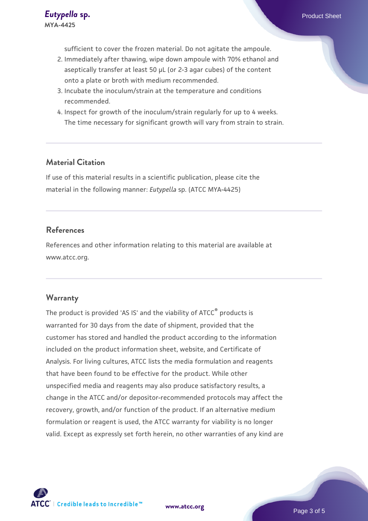sufficient to cover the frozen material. Do not agitate the ampoule.

- 2. Immediately after thawing, wipe down ampoule with 70% ethanol and aseptically transfer at least 50 µL (or 2-3 agar cubes) of the content onto a plate or broth with medium recommended.
- 3. Incubate the inoculum/strain at the temperature and conditions recommended.
- 4. Inspect for growth of the inoculum/strain regularly for up to 4 weeks. The time necessary for significant growth will vary from strain to strain.

#### **Material Citation**

If use of this material results in a scientific publication, please cite the material in the following manner: *Eutypella* sp. (ATCC MYA-4425)

### **References**

References and other information relating to this material are available at www.atcc.org.

#### **Warranty**

The product is provided 'AS IS' and the viability of ATCC® products is warranted for 30 days from the date of shipment, provided that the customer has stored and handled the product according to the information included on the product information sheet, website, and Certificate of Analysis. For living cultures, ATCC lists the media formulation and reagents that have been found to be effective for the product. While other unspecified media and reagents may also produce satisfactory results, a change in the ATCC and/or depositor-recommended protocols may affect the recovery, growth, and/or function of the product. If an alternative medium formulation or reagent is used, the ATCC warranty for viability is no longer valid. Except as expressly set forth herein, no other warranties of any kind are



**[www.atcc.org](http://www.atcc.org)**

Page 3 of 5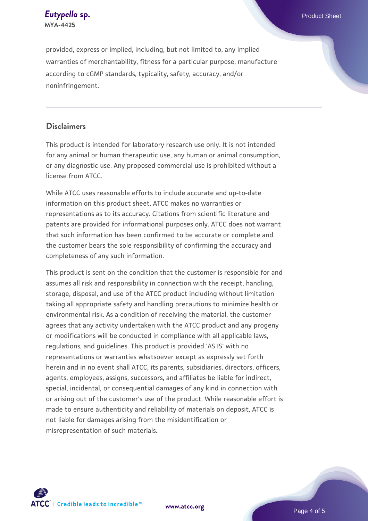**[Eutypella](https://www.atcc.org/products/mya-4425) [sp.](https://www.atcc.org/products/mya-4425)** Product Sheet **MYA-4425**

provided, express or implied, including, but not limited to, any implied warranties of merchantability, fitness for a particular purpose, manufacture according to cGMP standards, typicality, safety, accuracy, and/or noninfringement.

#### **Disclaimers**

This product is intended for laboratory research use only. It is not intended for any animal or human therapeutic use, any human or animal consumption, or any diagnostic use. Any proposed commercial use is prohibited without a license from ATCC.

While ATCC uses reasonable efforts to include accurate and up-to-date information on this product sheet, ATCC makes no warranties or representations as to its accuracy. Citations from scientific literature and patents are provided for informational purposes only. ATCC does not warrant that such information has been confirmed to be accurate or complete and the customer bears the sole responsibility of confirming the accuracy and completeness of any such information.

This product is sent on the condition that the customer is responsible for and assumes all risk and responsibility in connection with the receipt, handling, storage, disposal, and use of the ATCC product including without limitation taking all appropriate safety and handling precautions to minimize health or environmental risk. As a condition of receiving the material, the customer agrees that any activity undertaken with the ATCC product and any progeny or modifications will be conducted in compliance with all applicable laws, regulations, and guidelines. This product is provided 'AS IS' with no representations or warranties whatsoever except as expressly set forth herein and in no event shall ATCC, its parents, subsidiaries, directors, officers, agents, employees, assigns, successors, and affiliates be liable for indirect, special, incidental, or consequential damages of any kind in connection with or arising out of the customer's use of the product. While reasonable effort is made to ensure authenticity and reliability of materials on deposit, ATCC is not liable for damages arising from the misidentification or misrepresentation of such materials.



**[www.atcc.org](http://www.atcc.org)**

Page 4 of 5